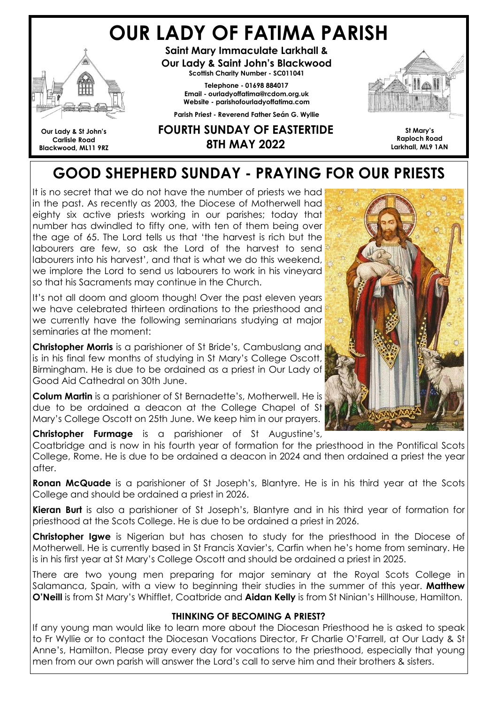# OUR LADY OF FATIMA PARISH



Our Lady & St John's Carlisle Road Blackwood, ML11 9RZ

Saint Mary Immaculate Larkhall & Our Lady & Saint John's Blackwood Scottish Charity Number - SC011041

> Telephone - 01698 884017 Email - ourladyoffatima@rcdom.org.uk Website - parishofourladyoffatima.com

Parish Priest - Reverend Father Seán G. Wyllie



St Mary's Raploch Road Larkhall, ML9 1AN

#### FOURTH SUNDAY OF EASTERTIDE 8TH MAY 2022

# GOOD SHEPHERD SUNDAY - PRAYING FOR OUR PRIESTS

It is no secret that we do not have the number of priests we had in the past. As recently as 2003, the Diocese of Motherwell had eighty six active priests working in our parishes; today that number has dwindled to fifty one, with ten of them being over the age of 65. The Lord tells us that 'the harvest is rich but the labourers are few, so ask the Lord of the harvest to send labourers into his harvest', and that is what we do this weekend, we implore the Lord to send us labourers to work in his vineyard so that his Sacraments may continue in the Church.

It's not all doom and gloom though! Over the past eleven years we have celebrated thirteen ordinations to the priesthood and we currently have the following seminarians studying at major seminaries at the moment:

Christopher Morris is a parishioner of St Bride's, Cambuslang and is in his final few months of studying in St Mary's College Oscott, Birmingham. He is due to be ordained as a priest in Our Lady of Good Aid Cathedral on 30th June.

Colum Martin is a parishioner of St Bernadette's, Motherwell. He is due to be ordained a deacon at the College Chapel of St Mary's College Oscott on 25th June. We keep him in our prayers.

Christopher Furmage is a parishioner of St Augustine's,

Coatbridge and is now in his fourth year of formation for the priesthood in the Pontifical Scots College, Rome. He is due to be ordained a deacon in 2024 and then ordained a priest the year after.

**Ronan McQuade** is a parishioner of St Joseph's, Blantyre. He is in his third year at the Scots College and should be ordained a priest in 2026.

Kieran Burt is also a parishioner of St Joseph's, Blantyre and in his third year of formation for priesthood at the Scots College. He is due to be ordained a priest in 2026.

**Christopher lawe** is Nigerian but has chosen to study for the priesthood in the Diocese of Motherwell. He is currently based in St Francis Xavier's, Carfin when he's home from seminary. He is in his first year at St Mary's College Oscott and should be ordained a priest in 2025.

There are two young men preparing for major seminary at the Royal Scots College in Salamanca, Spain, with a view to beginning their studies in the summer of this year. Matthew O'Neill is from St Mary's Whifflet, Coatbride and Aidan Kelly is from St Ninian's Hillhouse, Hamilton.

#### THINKING OF BECOMING A PRIEST?

If any young man would like to learn more about the Diocesan Priesthood he is asked to speak to Fr Wyllie or to contact the Diocesan Vocations Director, Fr Charlie O'Farrell, at Our Lady & St Anne's, Hamilton. Please pray every day for vocations to the priesthood, especially that young men from our own parish will answer the Lord's call to serve him and their brothers & sisters.

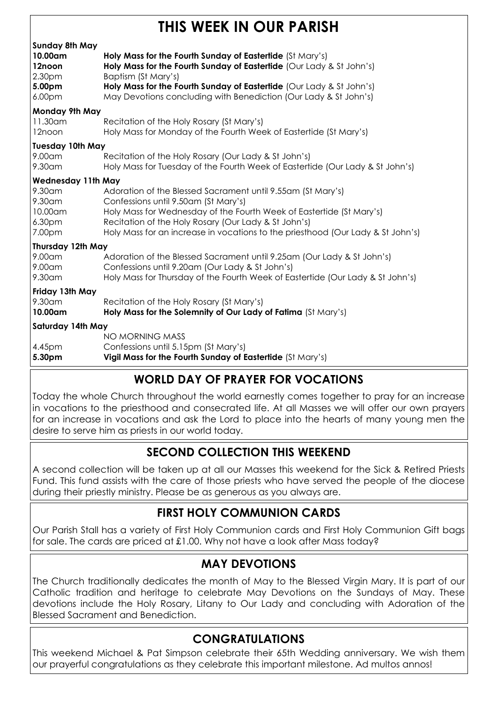# THIS WEEK IN OILR PARISH

| Holy Mass for the Fourth Sunday of Eastertide (St Mary's)<br>Holy Mass for the Fourth Sunday of Eastertide (Our Lady & St John's)<br>Baptism (St Mary's)<br>Holy Mass for the Fourth Sunday of Eastertide (Our Lady & St John's)<br>May Devotions concluding with Benediction (Our Lady & St John's)                   |  |  |
|------------------------------------------------------------------------------------------------------------------------------------------------------------------------------------------------------------------------------------------------------------------------------------------------------------------------|--|--|
| Monday 9th May<br>11.30am                                                                                                                                                                                                                                                                                              |  |  |
| Recitation of the Holy Rosary (St Mary's)<br>Holy Mass for Monday of the Fourth Week of Eastertide (St Mary's)                                                                                                                                                                                                         |  |  |
| <b>Tuesday 10th May</b><br>9.00am                                                                                                                                                                                                                                                                                      |  |  |
| Recitation of the Holy Rosary (Our Lady & St John's)<br>Holy Mass for Tuesday of the Fourth Week of Eastertide (Our Lady & St John's)                                                                                                                                                                                  |  |  |
| <b>Wednesday 11th May</b>                                                                                                                                                                                                                                                                                              |  |  |
| Adoration of the Blessed Sacrament until 9.55am (St Mary's)<br>Confessions until 9.50am (St Mary's)<br>Holy Mass for Wednesday of the Fourth Week of Eastertide (St Mary's)<br>Recitation of the Holy Rosary (Our Lady & St John's)<br>Holy Mass for an increase in vocations to the priesthood (Our Lady & St John's) |  |  |
| Thursday 12th May                                                                                                                                                                                                                                                                                                      |  |  |
| Adoration of the Blessed Sacrament until 9.25am (Our Lady & St John's)<br>Confessions until 9.20am (Our Lady & St John's)<br>Holy Mass for Thursday of the Fourth Week of Eastertide (Our Lady & St John's)                                                                                                            |  |  |
| Friday 13th May                                                                                                                                                                                                                                                                                                        |  |  |
| Recitation of the Holy Rosary (St Mary's)<br>Holy Mass for the Solemnity of Our Lady of Fatima (St Mary's)                                                                                                                                                                                                             |  |  |
| Saturday 14th May                                                                                                                                                                                                                                                                                                      |  |  |
| NO MORNING MASS<br>Confessions until 5.15pm (St Mary's)<br>Vigil Mass for the Fourth Sunday of Eastertide (St Mary's)                                                                                                                                                                                                  |  |  |
|                                                                                                                                                                                                                                                                                                                        |  |  |

## WORLD DAY OF PRAYER FOR VOCATIONS

Today the whole Church throughout the world earnestly comes together to pray for an increase in vocations to the priesthood and consecrated life. At all Masses we will offer our own prayers for an increase in vocations and ask the Lord to place into the hearts of many young men the desire to serve him as priests in our world today.

### SECOND COLLECTION THIS WEEKEND

A second collection will be taken up at all our Masses this weekend for the Sick & Retired Priests Fund. This fund assists with the care of those priests who have served the people of the diocese during their priestly ministry. Please be as generous as you always are.

### FIRST HOLY COMMUNION CARDS

Our Parish Stall has a variety of First Holy Communion cards and First Holy Communion Gift bags for sale. The cards are priced at £1.00. Why not have a look after Mass today?

#### MAY DEVOTIONS

The Church traditionally dedicates the month of May to the Blessed Virgin Mary. It is part of our Catholic tradition and heritage to celebrate May Devotions on the Sundays of May. These devotions include the Holy Rosary, Litany to Our Lady and concluding with Adoration of the Blessed Sacrament and Benediction.

### CONGRATULATIONS

This weekend Michael & Pat Simpson celebrate their 65th Wedding anniversary. We wish them our prayerful congratulations as they celebrate this important milestone. Ad multos annos!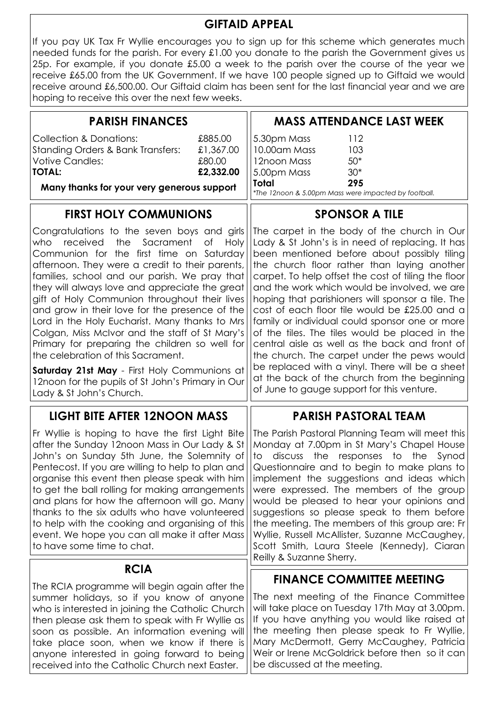#### GIFTAID APPEAL

If you pay UK Tax Fr Wyllie encourages you to sign up for this scheme which generates much needed funds for the parish. For every £1.00 you donate to the parish the Government gives us 25p. For example, if you donate £5.00 a week to the parish over the course of the year we receive £65.00 from the UK Government. If we have 100 people signed up to Giftaid we would receive around £6,500.00. Our Giftaid claim has been sent for the last financial year and we are hoping to receive this over the next few weeks.

| <b>PARISH FINANCES</b>                                                                                                                                                                                                                                                                                                                                                                                                                                                                                                                                                                                                                            | <b>MASS ATTENDANCE LAST WEEK</b>                                                                                                                                                                                                                                                                                                                                                                                                                                                                                                                                                                                                                                   |
|---------------------------------------------------------------------------------------------------------------------------------------------------------------------------------------------------------------------------------------------------------------------------------------------------------------------------------------------------------------------------------------------------------------------------------------------------------------------------------------------------------------------------------------------------------------------------------------------------------------------------------------------------|--------------------------------------------------------------------------------------------------------------------------------------------------------------------------------------------------------------------------------------------------------------------------------------------------------------------------------------------------------------------------------------------------------------------------------------------------------------------------------------------------------------------------------------------------------------------------------------------------------------------------------------------------------------------|
| <b>Collection &amp; Donations:</b><br>£885.00<br><b>Standing Orders &amp; Bank Transfers:</b><br>£1,367.00<br><b>Votive Candles:</b><br>£80.00<br>£2,332.00<br><b>TOTAL:</b>                                                                                                                                                                                                                                                                                                                                                                                                                                                                      | 5.30pm Mass<br>112<br>10.00am Mass<br>103<br>$50*$<br>12noon Mass<br>$30*$<br>5.00pm Mass                                                                                                                                                                                                                                                                                                                                                                                                                                                                                                                                                                          |
| Many thanks for your very generous support                                                                                                                                                                                                                                                                                                                                                                                                                                                                                                                                                                                                        | 295<br><b>Total</b><br>*The 12noon & 5.00pm Mass were impacted by football.                                                                                                                                                                                                                                                                                                                                                                                                                                                                                                                                                                                        |
| <b>FIRST HOLY COMMUNIONS</b>                                                                                                                                                                                                                                                                                                                                                                                                                                                                                                                                                                                                                      | <b>SPONSOR A TILE</b>                                                                                                                                                                                                                                                                                                                                                                                                                                                                                                                                                                                                                                              |
| Congratulations to the seven boys and girls<br>the<br>Sacrament<br>who<br>received<br>Оf<br>Holy<br>Communion for the first time on Saturday<br>afternoon. They were a credit to their parents,<br>families, school and our parish. We pray that<br>they will always love and appreciate the great<br>gift of Holy Communion throughout their lives<br>and grow in their love for the presence of the<br>Lord in the Holy Eucharist. Many thanks to Mrs<br>Colgan, Miss McIvor and the staff of St Mary's<br>Primary for preparing the children so well for<br>the celebration of this Sacrament.<br>Saturday 21st May - First Holy Communions at | The carpet in the body of the church in Our<br>Lady & St John's is in need of replacing. It has<br>been mentioned before about possibly tiling<br>the church floor rather than laying another<br>carpet. To help offset the cost of tiling the floor<br>and the work which would be involved, we are<br>hoping that parishioners will sponsor a tile. The<br>cost of each floor tile would be £25.00 and a<br>family or individual could sponsor one or more<br>of the tiles. The tiles would be placed in the<br>central aisle as well as the back and front of<br>the church. The carpet under the pews would<br>be replaced with a vinyl. There will be a sheet |
| 12noon for the pupils of St John's Primary in Our<br>Lady & St John's Church.                                                                                                                                                                                                                                                                                                                                                                                                                                                                                                                                                                     | at the back of the church from the beginning<br>of June to gauge support for this venture.                                                                                                                                                                                                                                                                                                                                                                                                                                                                                                                                                                         |
| <b>LIGHT BITE AFTER 12NOON MASS</b>                                                                                                                                                                                                                                                                                                                                                                                                                                                                                                                                                                                                               | <b>PARISH PASTORAL TEAM</b>                                                                                                                                                                                                                                                                                                                                                                                                                                                                                                                                                                                                                                        |
| Fr Wyllie is hoping to have the first Light Bite<br>after the Sunday 12noon Mass in Our Lady & St<br>John's on Sunday 5th June, the Solemnity of<br>Pentecost. If you are willing to help to plan and<br>organise this event then please speak with him<br>to get the ball rolling for making arrangements<br>and plans for how the afternoon will go. Many<br>thanks to the six adults who have volunteered<br>to help with the cooking and organising of this<br>event. We hope you can all make it after Mass<br>to have some time to chat.                                                                                                    | The Parish Pastoral Planning Team will meet this<br>Monday at 7.00pm in St Mary's Chapel House<br>discuss the responses to the Synod<br>to<br>Questionnaire and to begin to make plans to<br>implement the suggestions and ideas which<br>were expressed. The members of the group<br>would be pleased to hear your opinions and<br>suggestions so please speak to them before<br>the meeting. The members of this group are: Fr<br>Wyllie, Russell McAllister, Suzanne McCaughey,<br>Scott Smith, Laura Steele (Kennedy), Ciaran<br>Reilly & Suzanne Sherry.                                                                                                      |
| <b>RCIA</b>                                                                                                                                                                                                                                                                                                                                                                                                                                                                                                                                                                                                                                       | <b>FINANCE COMMITTEE MEETING</b>                                                                                                                                                                                                                                                                                                                                                                                                                                                                                                                                                                                                                                   |
| The RCIA programme will begin again after the<br>summer holidays, so if you know of anyone<br>who is interested in joining the Catholic Church<br>then please ask them to speak with Fr Wyllie as<br>soon as possible. An information evening will<br>take place soon, when we know if there is<br>anyone interested in going forward to being<br>received into the Catholic Church next Easter.                                                                                                                                                                                                                                                  | The next meeting of the Finance Committee<br>will take place on Tuesday 17th May at 3.00pm.<br>If you have anything you would like raised at<br>the meeting then please speak to Fr Wyllie,<br>Mary McDermott, Gerry McCaughey, Patricia<br>Weir or Irene McGoldrick before then so it can<br>be discussed at the meeting.                                                                                                                                                                                                                                                                                                                                         |